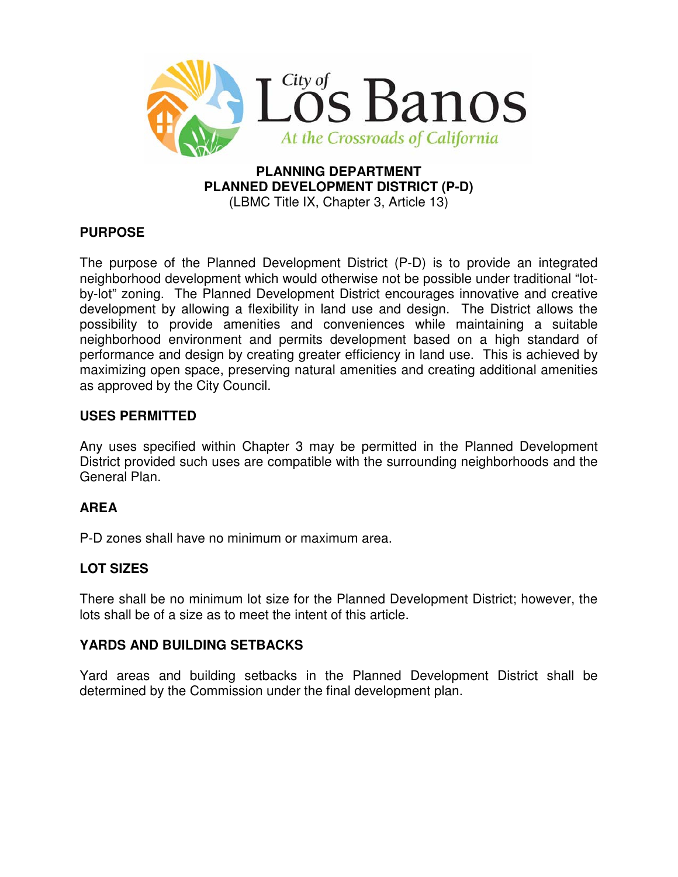

#### **PLANNING DEPARTMENT PLANNED DEVELOPMENT DISTRICT (P-D)**  (LBMC Title IX, Chapter 3, Article 13)

# **PURPOSE**

The purpose of the Planned Development District (P-D) is to provide an integrated neighborhood development which would otherwise not be possible under traditional "lotby-lot" zoning. The Planned Development District encourages innovative and creative development by allowing a flexibility in land use and design. The District allows the possibility to provide amenities and conveniences while maintaining a suitable neighborhood environment and permits development based on a high standard of performance and design by creating greater efficiency in land use. This is achieved by maximizing open space, preserving natural amenities and creating additional amenities as approved by the City Council.

#### **USES PERMITTED**

Any uses specified within Chapter 3 may be permitted in the Planned Development District provided such uses are compatible with the surrounding neighborhoods and the General Plan.

# **AREA**

P-D zones shall have no minimum or maximum area.

# **LOT SIZES**

There shall be no minimum lot size for the Planned Development District; however, the lots shall be of a size as to meet the intent of this article.

#### **YARDS AND BUILDING SETBACKS**

Yard areas and building setbacks in the Planned Development District shall be determined by the Commission under the final development plan.